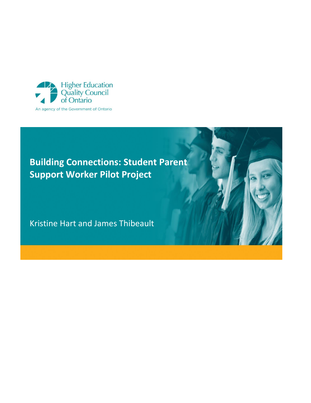

# **Building Connections: Student Parent Support Worker Pilot Project**

Kristine Hart and James Thibeault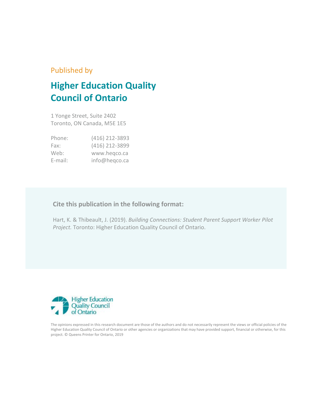### Published by

# **Higher Education Quality Council of Ontario**

1 Yonge Street, Suite 2402 Toronto, ON Canada, M5E 1E5

| Phone:     | (416) 212-3893 |
|------------|----------------|
| Fax:       | (416) 212-3899 |
| Web:       | www.hegco.ca   |
| $E$ -mail: | info@heqco.ca  |

### **Cite this publication in the following format:**

Hart, K. & Thibeault, J. (2019). *Building Connections: Student Parent Support Worker Pilot Project.* Toronto: Higher Education Quality Council of Ontario.



The opinions expressed in this research document are those of the authors and do not necessarily represent the views or official policies of the Higher Education Quality Council of Ontario or other agencies or organizations that may have provided support, financial or otherwise, for this project. © Queens Printer for Ontario, 2019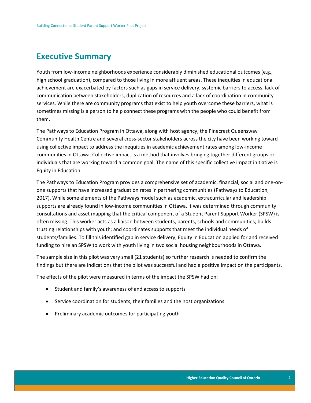### <span id="page-2-0"></span>**Executive Summary**

Youth from low-income neighborhoods experience considerably diminished educational outcomes (e.g., high school graduation), compared to those living in more affluent areas. These inequities in educational achievement are exacerbated by factors such as gaps in service delivery, systemic barriers to access, lack of communication between stakeholders, duplication of resources and a lack of coordination in community services. While there are community programs that exist to help youth overcome these barriers, what is sometimes missing is a person to help connect these programs with the people who could benefit from them.

The Pathways to Education Program in Ottawa, along with host agency, the Pinecrest Queensway Community Health Centre and several cross-sector stakeholders across the city have been working toward using collective impact to address the inequities in academic achievement rates among low-income communities in Ottawa. Collective impact is a method that involves bringing together different groups or individuals that are working toward a common goal. The name of this specific collective impact initiative is Equity in Education.

The Pathways to Education Program provides a comprehensive set of academic, financial, social and one-onone supports that have increased graduation rates in partnering communities (Pathways to Education, 2017). While some elements of the Pathways model such as academic, extracurricular and leadership supports are already found in low-income communities in Ottawa, it was determined through community consultations and asset mapping that the critical component of a Student Parent Support Worker (SPSW) is often missing. This worker acts as a liaison between students, parents, schools and communities; builds trusting relationships with youth; and coordinates supports that meet the individual needs of students/families. To fill this identified gap in service delivery, Equity in Education applied for and received funding to hire an SPSW to work with youth living in two social housing neighbourhoods in Ottawa.

The sample size in this pilot was very small (21 students) so further research is needed to confirm the findings but there are indications that the pilot was successful and had a positive impact on the participants.

The effects of the pilot were measured in terms of the impact the SPSW had on:

- Student and family's awareness of and access to supports
- Service coordination for students, their families and the host organizations
- Preliminary academic outcomes for participating youth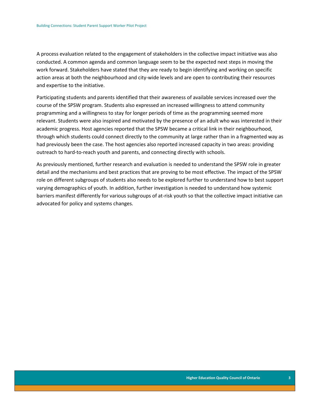A process evaluation related to the engagement of stakeholders in the collective impact initiative was also conducted. A common agenda and common language seem to be the expected next steps in moving the work forward. Stakeholders have stated that they are ready to begin identifying and working on specific action areas at both the neighbourhood and city-wide levels and are open to contributing their resources and expertise to the initiative.

Participating students and parents identified that their awareness of available services increased over the course of the SPSW program. Students also expressed an increased willingness to attend community programming and a willingness to stay for longer periods of time as the programming seemed more relevant. Students were also inspired and motivated by the presence of an adult who was interested in their academic progress. Host agencies reported that the SPSW became a critical link in their neighbourhood, through which students could connect directly to the community at large rather than in a fragmented way as had previously been the case. The host agencies also reported increased capacity in two areas: providing outreach to hard-to-reach youth and parents, and connecting directly with schools.

As previously mentioned, further research and evaluation is needed to understand the SPSW role in greater detail and the mechanisms and best practices that are proving to be most effective. The impact of the SPSW role on different subgroups of students also needs to be explored further to understand how to best support varying demographics of youth. In addition, further investigation is needed to understand how systemic barriers manifest differently for various subgroups of at-risk youth so that the collective impact initiative can advocated for policy and systems changes.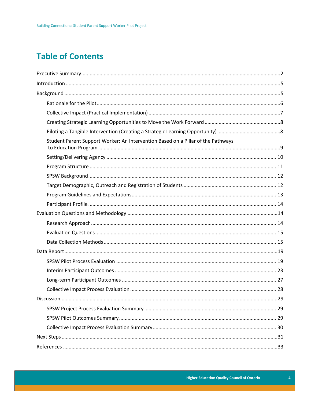# **Table of Contents**

| Student Parent Support Worker: An Intervention Based on a Pillar of the Pathways |  |
|----------------------------------------------------------------------------------|--|
|                                                                                  |  |
|                                                                                  |  |
|                                                                                  |  |
|                                                                                  |  |
|                                                                                  |  |
|                                                                                  |  |
|                                                                                  |  |
|                                                                                  |  |
|                                                                                  |  |
|                                                                                  |  |
|                                                                                  |  |
|                                                                                  |  |
|                                                                                  |  |
|                                                                                  |  |
|                                                                                  |  |
|                                                                                  |  |
|                                                                                  |  |
|                                                                                  |  |
|                                                                                  |  |
|                                                                                  |  |
|                                                                                  |  |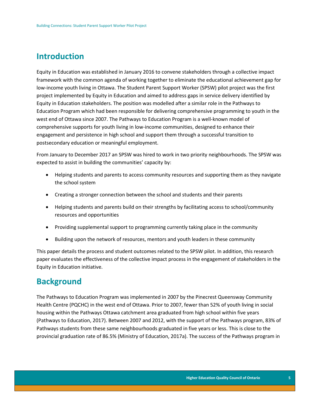## <span id="page-5-0"></span>**Introduction**

Equity in Education was established in January 2016 to convene stakeholders through a collective impact framework with the common agenda of working together to eliminate the educational achievement gap for low-income youth living in Ottawa. The Student Parent Support Worker (SPSW) pilot project was the first project implemented by Equity in Education and aimed to address gaps in service delivery identified by Equity in Education stakeholders. The position was modelled after a similar role in the Pathways to Education Program which had been responsible for delivering comprehensive programming to youth in the west end of Ottawa since 2007. The Pathways to Education Program is a well-known model of comprehensive supports for youth living in low-income communities, designed to enhance their engagement and persistence in high school and support them through a successful transition to postsecondary education or meaningful employment.

From January to December 2017 an SPSW was hired to work in two priority neighbourhoods. The SPSW was expected to assist in building the communities' capacity by:

- Helping students and parents to access community resources and supporting them as they navigate the school system
- Creating a stronger connection between the school and students and their parents
- Helping students and parents build on their strengths by facilitating access to school/community resources and opportunities
- Providing supplemental support to programming currently taking place in the community
- Building upon the network of resources, mentors and youth leaders in these community

This paper details the process and student outcomes related to the SPSW pilot. In addition, this research paper evaluates the effectiveness of the collective impact process in the engagement of stakeholders in the Equity in Education initiative.

## <span id="page-5-1"></span>**Background**

The Pathways to Education Program was implemented in 2007 by the Pinecrest Queensway Community Health Centre (PQCHC) in the west end of Ottawa. Prior to 2007, fewer than 52% of youth living in social housing within the Pathways Ottawa catchment area graduated from high school within five years (Pathways to Education, 2017). Between 2007 and 2012, with the support of the Pathways program, 83% of Pathways students from these same neighbourhoods graduated in five years or less. This is close to the provincial graduation rate of 86.5% (Ministry of Education, 2017a). The success of the Pathways program in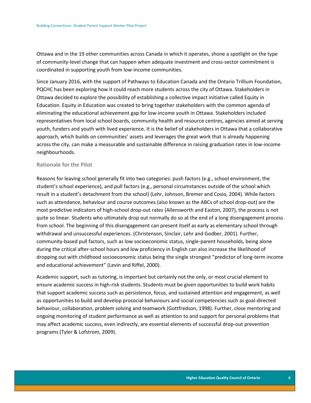Ottawa and in the 19 other communities across Canada in which it operates, shone a spotlight on the type of community-level change that can happen when adequate investment and cross-sector commitment is coordinated in supporting youth from low-income communities.

Since January 2016, with the support of Pathways to Education Canada and the Ontario Trillium Foundation, PQCHC has been exploring how it could reach more students across the city of Ottawa. Stakeholders in Ottawa decided to explore the possibility of establishing a collective impact initiative called Equity in Education. Equity in Education was created to bring together stakeholders with the common agenda of eliminating the educational achievement gap for low-income youth in Ottawa. Stakeholders included representatives from local school boards, community health and resource centres, agencies aimed at serving youth, funders and youth with lived experience. It is the belief of stakeholders in Ottawa that a collaborative approach, which builds on communities' assets and leverages the great work that is already happening across the city, can make a measurable and sustainable difference in raising graduation rates in low-income neighbourhoods.

#### <span id="page-6-0"></span>**Rationale for the Pilot**

Reasons for leaving school generally fit into two categories: push factors (e.g., school environment, the student's school experience), and pull factors (e.g., personal circumstances outside of the school which result in a student's detachment from the school) (Lehr, Johnson, Bremer and Cosio, 2004). While factors such as attendance, behaviour and course outcomes (also known as the ABCs of school drop-out) are the most predictive indicators of high-school drop-out rates (Allensworth and Easton, 2007), the process is not quite so linear. Students who ultimately drop out normally do so at the end of a long disengagement process from school. The beginning of this disengagement can present itself as early as elementary school through withdrawal and unsuccessful experiences. (Christenson, Sinclair, Lehr and Godber, 2001). Further, community-based pull factors, such as low socioeconomic status, single-parent households, being alone during the critical after-school hours and low proficiency in English can also increase the likelihood of dropping out with childhood socioeconomic status being the single strongest "predictor of long-term income and educational achievement" (Levin and Riffel, 2000).

Academic support, such as tutoring, is important but certainly not the only, or most crucial element to ensure academic success in high-risk students. Students must be given opportunities to build work habits that support academic success such as persistence, focus, and sustained attention and engagement, as well as opportunities to build and develop prosocial behaviours and social competencies such as goal-directed behaviour, collaboration, problem solving and teamwork (Gottfredson, 1998). Further, close mentoring and ongoing monitoring of student performance as well as attention to and support for personal problems that may affect academic success, even indirectly, are essential elements of successful drop-out prevention programs (Tyler & Lofstrom, 2009).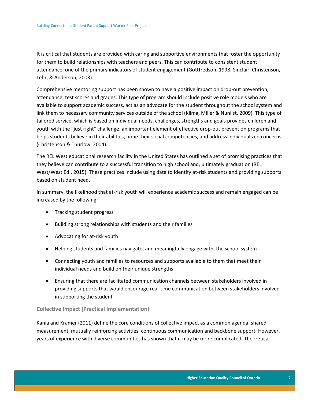It is critical that students are provided with caring and supportive environments that foster the opportunity for them to build relationships with teachers and peers. This can contribute to consistent student attendance, one of the primary indicators of student engagement (Gottfredson, 1998; Sinclair, Christenson, Lehr, & Anderson, 2003).

Comprehensive mentoring support has been shown to have a positive impact on drop-out prevention, attendance, test scores and grades. This type of program should include positive role models who are available to support academic success, act as an advocate for the student throughout the school system and link them to necessary community services outside of the school (Klima, Miller & Nunlist, 2009). This type of tailored service, which is based on individual needs, challenges, strengths and goals provides children and youth with the "just right" challenge, an important element of effective drop-out prevention programs that helps students believe in their abilities, hone their social competencies, and address individualized concerns (Christenson & Thurlow, 2004).

The REL West educational research facility in the United States has outlined a set of promising practices that they believe can contribute to a successful transition to high school and, ultimately graduation (REL West/West Ed., 2015). These practices include using data to identify at-risk students and providing supports based on student need.

In summary, the likelihood that at-risk youth will experience academic success and remain engaged can be increased by the following:

- Tracking student progress
- Building strong relationships with students and their families
- Advocating for at-risk youth
- Helping students and families navigate, and meaningfully engage with, the school system
- Connecting youth and families to resources and supports available to them that meet their individual needs and build on their unique strengths
- Ensuring that there are facilitated communication channels between stakeholders involved in providing supports that would encourage real-time communication between stakeholders involved in supporting the student

#### <span id="page-7-0"></span>**Collective Impact (Practical Implementation)**

Kania and Kramer (2011) define the core conditions of collective impact as a common agenda, shared measurement, mutually reinforcing activities, continuous communication and backbone support. However, years of experience with diverse communities has shown that it may be more complicated. Theoretical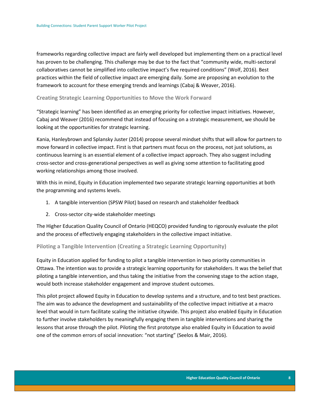frameworks regarding collective impact are fairly well developed but implementing them on a practical level has proven to be challenging. This challenge may be due to the fact that "community wide, multi-sectoral collaboratives cannot be simplified into collective impact's five required conditions" (Wolf, 2016). Best practices within the field of collective impact are emerging daily. Some are proposing an evolution to the framework to account for these emerging trends and learnings (Cabaj & Weaver, 2016).

#### <span id="page-8-0"></span>**Creating Strategic Learning Opportunities to Move the Work Forward**

"Strategic learning" has been identified as an emerging priority for collective impact initiatives. However, Cabaj and Weaver (2016) recommend that instead of focusing on a strategic measurement, we should be looking at the opportunities for strategic learning.

Kania, Hanleybrown and Splansky Juster (2014) propose several mindset shifts that will allow for partners to move forward in collective impact. First is that partners must focus on the process, not just solutions, as continuous learning is an essential element of a collective impact approach. They also suggest including cross-sector and cross-generational perspectives as well as giving some attention to facilitating good working relationships among those involved.

With this in mind, Equity in Education implemented two separate strategic learning opportunities at both the programming and systems levels.

- 1. A tangible intervention (SPSW Pilot) based on research and stakeholder feedback
- 2. Cross-sector city-wide stakeholder meetings

The Higher Education Quality Council of Ontario (HEQCO) provided funding to rigorously evaluate the pilot and the process of effectively engaging stakeholders in the collective impact initiative.

#### <span id="page-8-1"></span>**Piloting a Tangible Intervention (Creating a Strategic Learning Opportunity)**

Equity in Education applied for funding to pilot a tangible intervention in two priority communities in Ottawa. The intention was to provide a strategic learning opportunity for stakeholders. It was the belief that piloting a tangible intervention, and thus taking the initiative from the convening stage to the action stage, would both increase stakeholder engagement and improve student outcomes.

This pilot project allowed Equity in Education to develop systems and a structure, and to test best practices. The aim was to advance the development and sustainability of the collective impact initiative at a macro level that would in turn facilitate scaling the initiative citywide. This project also enabled Equity in Education to further involve stakeholders by meaningfully engaging them in tangible interventions and sharing the lessons that arose through the pilot. Piloting the first prototype also enabled Equity in Education to avoid one of the common errors of social innovation: "not starting" (Seelos & Mair, 2016).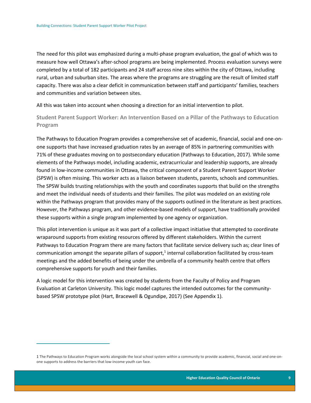$\overline{a}$ 

The need for this pilot was emphasized during a multi-phase program evaluation, the goal of which was to measure how well Ottawa's after-school programs are being implemented. Process evaluation surveys were completed by a total of 182 participants and 24 staff across nine sites within the city of Ottawa, including rural, urban and suburban sites. The areas where the programs are struggling are the result of limited staff capacity. There was also a clear deficit in communication between staff and participants' families, teachers and communities and variation between sites.

All this was taken into account when choosing a direction for an initial intervention to pilot.

<span id="page-9-0"></span>**Student Parent Support Worker: An Intervention Based on a Pillar of the Pathways to Education Program**

The Pathways to Education Program provides a comprehensive set of academic, financial, social and one-onone supports that have increased graduation rates by an average of 85% in partnering communities with 71% of these graduates moving on to postsecondary education (Pathways to Education, 2017). While some elements of the Pathways model, including academic, extracurricular and leadership supports, are already found in low-income communities in Ottawa, the critical component of a Student Parent Support Worker (SPSW) is often missing. This worker acts as a liaison between students, parents, schools and communities. The SPSW builds trusting relationships with the youth and coordinates supports that build on the strengths and meet the individual needs of students and their families. The pilot was modeled on an existing role within the Pathways program that provides many of the supports outlined in the literature as best practices. However, the Pathways program, and other evidence-based models of support, have traditionally provided these supports within a single program implemented by one agency or organization.

This pilot intervention is unique as it was part of a collective impact initiative that attempted to coordinate wraparound supports from existing resources offered by different stakeholders. Within the current Pathways to Education Program there are many factors that facilitate service delivery such as; clear lines of communication amongst the separate pillars of support,<sup>1</sup> internal collaboration facilitated by cross-team meetings and the added benefits of being under the umbrella of a community health centre that offers comprehensive supports for youth and their families.

A logic model for this intervention was created by students from the Faculty of Policy and Program Evaluation at Carleton University. This logic model captures the intended outcomes for the communitybased SPSW prototype pilot (Hart, Bracewell & Ogundipe, 2017) (See Appendix 1).

<sup>1</sup> The Pathways to Education Program works alongside the local school system within a community to provide academic, financial, social and one-onone supports to address the barriers that low-income youth can face.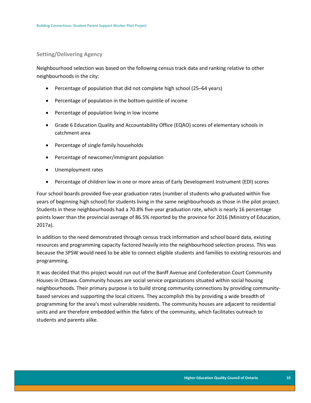#### <span id="page-10-0"></span>**Setting/Delivering Agency**

Neighbourhood selection was based on the following census track data and ranking relative to other neighbourhoods in the city:

- Percentage of population that did not complete high school (25–64 years)
- Percentage of population in the bottom quintile of income
- Percentage of population living in low income
- Grade 6 Education Quality and Accountability Office (EQAO) scores of elementary schools in catchment area
- Percentage of single family households
- Percentage of newcomer/immigrant population
- Unemployment rates
- Percentage of children low in one or more areas of Early Development Instrument (EDI) scores

Four school boards provided five-year graduation rates (number of students who graduated within five years of beginning high school) for students living in the same neighbourhoods as those in the pilot project. Students in these neighbourhoods had a 70.8% five-year graduation rate, which is nearly 16 percentage points lower than the provincial average of 86.5% reported by the province for 2016 (Ministry of Education, 2017a).

In addition to the need demonstrated through census track information and school board data, existing resources and programming capacity factored heavily into the neighbourhood selection process. This was because the SPSW would need to be able to connect eligible students and families to existing resources and programming.

It was decided that this project would run out of the Banff Avenue and Confederation Court Community Houses in Ottawa. Community houses are social service organizations situated within social housing neighbourhoods. Their primary purpose is to build strong community connections by providing communitybased services and supporting the local citizens. They accomplish this by providing a wide breadth of programming for the area's most vulnerable residents. The community houses are adjacent to residential units and are therefore embedded within the fabric of the community, which facilitates outreach to students and parents alike.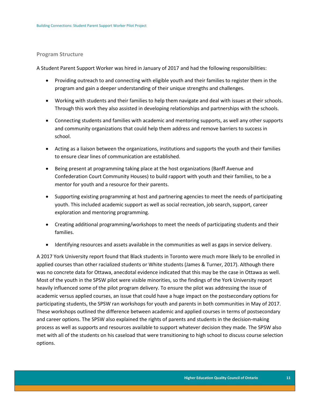#### <span id="page-11-0"></span>**Program Structure**

A Student Parent Support Worker was hired in January of 2017 and had the following responsibilities:

- Providing outreach to and connecting with eligible youth and their families to register them in the program and gain a deeper understanding of their unique strengths and challenges.
- Working with students and their families to help them navigate and deal with issues at their schools. Through this work they also assisted in developing relationships and partnerships with the schools.
- Connecting students and families with academic and mentoring supports, as well any other supports and community organizations that could help them address and remove barriers to success in school.
- Acting as a liaison between the organizations, institutions and supports the youth and their families to ensure clear lines of communication are established.
- Being present at programming taking place at the host organizations (Banff Avenue and Confederation Court Community Houses) to build rapport with youth and their families, to be a mentor for youth and a resource for their parents.
- Supporting existing programming at host and partnering agencies to meet the needs of participating youth. This included academic support as well as social recreation, job search, support, career exploration and mentoring programming.
- Creating additional programming/workshops to meet the needs of participating students and their families.
- Identifying resources and assets available in the communities as well as gaps in service delivery.

A 2017 York University report found that Black students in Toronto were much more likely to be enrolled in applied courses than other racialized students or White students (James & Turner, 2017). Although there was no concrete data for Ottawa, anecdotal evidence indicated that this may be the case in Ottawa as well. Most of the youth in the SPSW pilot were visible minorities, so the findings of the York University report heavily influenced some of the pilot program delivery. To ensure the pilot was addressing the issue of academic versus applied courses, an issue that could have a huge impact on the postsecondary options for participating students, the SPSW ran workshops for youth and parents in both communities in May of 2017. These workshops outlined the difference between academic and applied courses in terms of postsecondary and career options. The SPSW also explained the rights of parents and students in the decision-making process as well as supports and resources available to support whatever decision they made. The SPSW also met with all of the students on his caseload that were transitioning to high school to discuss course selection options.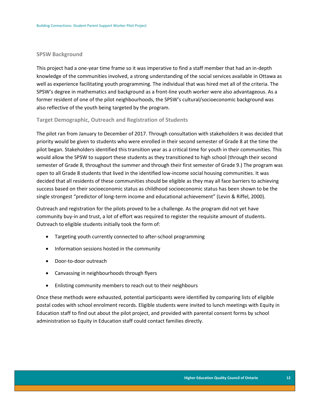#### <span id="page-12-0"></span>**SPSW Background**

This project had a one-year time frame so it was imperative to find a staff member that had an in-depth knowledge of the communities involved, a strong understanding of the social services available in Ottawa as well as experience facilitating youth programming. The individual that was hired met all of the criteria. The SPSW's degree in mathematics and background as a front-line youth worker were also advantageous. As a former resident of one of the pilot neighbourhoods, the SPSW's cultural/socioeconomic background was also reflective of the youth being targeted by the program.

#### <span id="page-12-1"></span>**Target Demographic, Outreach and Registration of Students**

The pilot ran from January to December of 2017. Through consultation with stakeholders it was decided that priority would be given to students who were enrolled in their second semester of Grade 8 at the time the pilot began. Stakeholders identified this transition year as a critical time for youth in their communities. This would allow the SPSW to support these students as they transitioned to high school (through their second semester of Grade 8, throughout the summer and through their first semester of Grade 9.) The program was open to all Grade 8 students that lived in the identified low-income social housing communities. It was decided that all residents of these communities should be eligible as they may all face barriers to achieving success based on their socioeconomic status as childhood socioeconomic status has been shown to be the single strongest "predictor of long-term income and educational achievement" (Levin & Riffel, 2000).

Outreach and registration for the pilots proved to be a challenge. As the program did not yet have community buy-in and trust, a lot of effort was required to register the requisite amount of students. Outreach to eligible students initially took the form of:

- Targeting youth currently connected to after-school programming
- Information sessions hosted in the community
- Door-to-door outreach
- Canvassing in neighbourhoods through flyers
- Enlisting community members to reach out to their neighbours

Once these methods were exhausted, potential participants were identified by comparing lists of eligible postal codes with school enrolment records. Eligible students were invited to lunch meetings with Equity in Education staff to find out about the pilot project, and provided with parental consent forms by school administration so Equity in Education staff could contact families directly.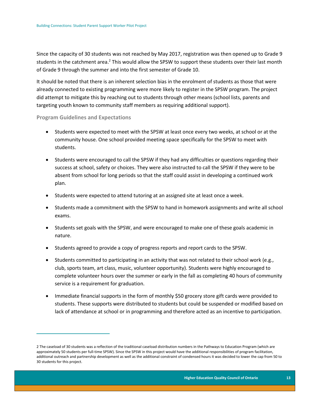Since the capacity of 30 students was not reached by May 2017, registration was then opened up to Grade 9 students in the catchment area.<sup>2</sup> This would allow the SPSW to support these students over their last month of Grade 9 through the summer and into the first semester of Grade 10.

It should be noted that there is an inherent selection bias in the enrolment of students as those that were already connected to existing programming were more likely to register in the SPSW program. The project did attempt to mitigate this by reaching out to students through other means (school lists, parents and targeting youth known to community staff members as requiring additional support).

#### <span id="page-13-0"></span>**Program Guidelines and Expectations**

 $\overline{a}$ 

- Students were expected to meet with the SPSW at least once every two weeks, at school or at the community house. One school provided meeting space specifically for the SPSW to meet with students.
- Students were encouraged to call the SPSW if they had any difficulties or questions regarding their success at school, safety or choices. They were also instructed to call the SPSW if they were to be absent from school for long periods so that the staff could assist in developing a continued work plan.
- Students were expected to attend tutoring at an assigned site at least once a week.
- Students made a commitment with the SPSW to hand in homework assignments and write all school exams.
- Students set goals with the SPSW, and were encouraged to make one of these goals academic in nature.
- Students agreed to provide a copy of progress reports and report cards to the SPSW.
- Students committed to participating in an activity that was not related to their school work (e.g., club, sports team, art class, music, volunteer opportunity). Students were highly encouraged to complete volunteer hours over the summer or early in the fall as completing 40 hours of community service is a requirement for graduation.
- Immediate financial supports in the form of monthly \$50 grocery store gift cards were provided to students. These supports were distributed to students but could be suspended or modified based on lack of attendance at school or in programming and therefore acted as an incentive to participation.

<sup>2</sup> The caseload of 30 students was a reflection of the traditional caseload distribution numbers in the Pathways to Education Program (which are approximately 50 students per full-time SPSW). Since the SPSW in this project would have the additional responsibilities of program facilitation, additional outreach and partnership development as well as the additional constraint of condensed hours it was decided to lower the cap from 50 to 30 students for this project.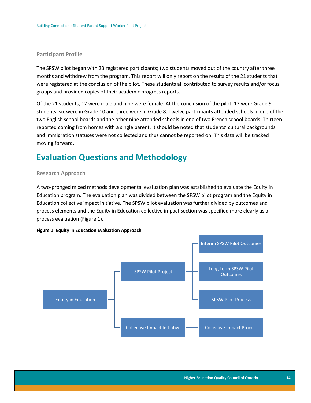#### <span id="page-14-0"></span>**Participant Profile**

The SPSW pilot began with 23 registered participants; two students moved out of the country after three months and withdrew from the program. This report will only report on the results of the 21 students that were registered at the conclusion of the pilot. These students all contributed to survey results and/or focus groups and provided copies of their academic progress reports.

Of the 21 students, 12 were male and nine were female. At the conclusion of the pilot, 12 were Grade 9 students, six were in Grade 10 and three were in Grade 8. Twelve participants attended schools in one of the two English school boards and the other nine attended schools in one of two French school boards. Thirteen reported coming from homes with a single parent. It should be noted that students' cultural backgrounds and immigration statuses were not collected and thus cannot be reported on. This data will be tracked moving forward.

### <span id="page-14-1"></span>**Evaluation Questions and Methodology**

#### <span id="page-14-2"></span>**Research Approach**

A two-pronged mixed methods developmental evaluation plan was established to evaluate the Equity in Education program. The evaluation plan was divided between the SPSW pilot program and the Equity in Education collective impact initiative. The SPSW pilot evaluation was further divided by outcomes and process elements and the Equity in Education collective impact section was specified more clearly as a process evaluation (Figure 1).



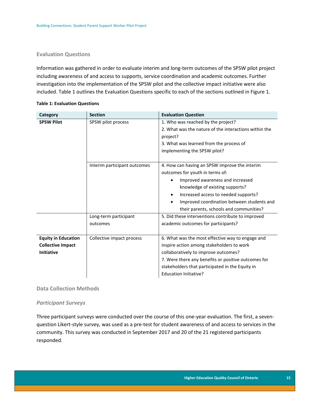#### <span id="page-15-0"></span>**Evaluation Questions**

Information was gathered in order to evaluate interim and long-term outcomes of the SPSW pilot project including awareness of and access to supports, service coordination and academic outcomes. Further investigation into the implementation of the SPSW pilot and the collective impact initiative were also included. Table 1 outlines the Evaluation Questions specific to each of the sections outlined in Figure 1.

| Category                                                                    | <b>Section</b>                    | <b>Evaluation Question</b>                                                                                                                                                                                                                                                                            |
|-----------------------------------------------------------------------------|-----------------------------------|-------------------------------------------------------------------------------------------------------------------------------------------------------------------------------------------------------------------------------------------------------------------------------------------------------|
| <b>SPSW Pilot</b>                                                           | SPSW pilot process                | 1. Who was reached by the project?<br>2. What was the nature of the interactions within the<br>project?<br>3. What was learned from the process of<br>implementing the SPSW pilot?                                                                                                                    |
|                                                                             | Interim participant outcomes      | 4. How can having an SPSW improve the interim<br>outcomes for youth in terms of:<br>Improved awareness and increased<br>knowledge of existing supports?<br>Increased access to needed supports?<br>$\bullet$<br>Improved coordination between students and<br>their parents, schools and communities? |
|                                                                             | Long-term participant<br>outcomes | 5. Did these interventions contribute to improved<br>academic outcomes for participants?                                                                                                                                                                                                              |
| <b>Equity in Education</b><br><b>Collective Impact</b><br><b>Initiative</b> | Collective impact process         | 6. What was the most effective way to engage and<br>inspire action among stakeholders to work<br>collaboratively to improve outcomes?<br>7. Were there any benefits or positive outcomes for<br>stakeholders that participated in the Equity in<br>Education Initiative?                              |

#### **Table 1: Evaluation Questions**

#### <span id="page-15-1"></span>**Data Collection Methods**

#### *Participant Surveys*

Three participant surveys were conducted over the course of this one-year evaluation. The first, a sevenquestion Likert-style survey, was used as a pre-test for student awareness of and access to services in the community. This survey was conducted in September 2017 and 20 of the 21 registered participants responded.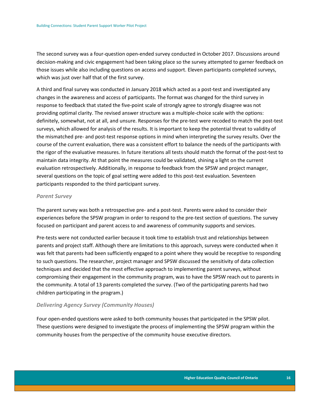The second survey was a four-question open-ended survey conducted in October 2017. Discussions around decision-making and civic engagement had been taking place so the survey attempted to garner feedback on those issues while also including questions on access and support. Eleven participants completed surveys, which was just over half that of the first survey.

A third and final survey was conducted in January 2018 which acted as a post-test and investigated any changes in the awareness and access of participants. The format was changed for the third survey in response to feedback that stated the five-point scale of strongly agree to strongly disagree was not providing optimal clarity. The revised answer structure was a multiple-choice scale with the options: definitely, somewhat, not at all, and unsure. Responses for the pre-test were recoded to match the post-test surveys, which allowed for analysis of the results. It is important to keep the potential threat to validity of the mismatched pre- and post-test response options in mind when interpreting the survey results. Over the course of the current evaluation, there was a consistent effort to balance the needs of the participants with the rigor of the evaluative measures. In future iterations all tests should match the format of the post-test to maintain data integrity. At that point the measures could be validated, shining a light on the current evaluation retrospectively. Additionally, in response to feedback from the SPSW and project manager, several questions on the topic of goal setting were added to this post-test evaluation. Seventeen participants responded to the third participant survey.

#### *Parent Survey*

The parent survey was both a retrospective pre- and a post-test. Parents were asked to consider their experiences before the SPSW program in order to respond to the pre-test section of questions. The survey focused on participant and parent access to and awareness of community supports and services.

Pre-tests were not conducted earlier because it took time to establish trust and relationships between parents and project staff. Although there are limitations to this approach, surveys were conducted when it was felt that parents had been sufficiently engaged to a point where they would be receptive to responding to such questions. The researcher, project manager and SPSW discussed the sensitivity of data collection techniques and decided that the most effective approach to implementing parent surveys, without compromising their engagement in the community program, was to have the SPSW reach out to parents in the community. A total of 13 parents completed the survey. (Two of the participating parents had two children participating in the program.)

#### *Delivering Agency Survey (Community Houses)*

Four open-ended questions were asked to both community houses that participated in the SPSW pilot. These questions were designed to investigate the process of implementing the SPSW program within the community houses from the perspective of the community house executive directors.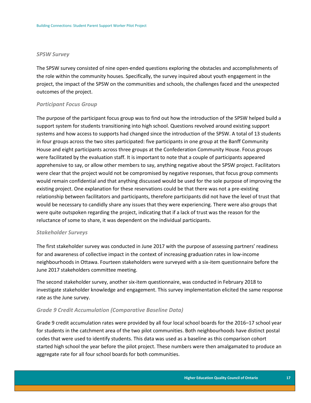#### *SPSW Survey*

The SPSW survey consisted of nine open-ended questions exploring the obstacles and accomplishments of the role within the community houses. Specifically, the survey inquired about youth engagement in the project, the impact of the SPSW on the communities and schools, the challenges faced and the unexpected outcomes of the project.

#### *Participant Focus Group*

The purpose of the participant focus group was to find out how the introduction of the SPSW helped build a support system for students transitioning into high school. Questions revolved around existing support systems and how access to supports had changed since the introduction of the SPSW. A total of 13 students in four groups across the two sites participated: five participants in one group at the Banff Community House and eight participants across three groups at the Confederation Community House. Focus groups were facilitated by the evaluation staff. It is important to note that a couple of participants appeared apprehensive to say, or allow other members to say, anything negative about the SPSW project. Facilitators were clear that the project would not be compromised by negative responses, that focus group comments would remain confidential and that anything discussed would be used for the sole purpose of improving the existing project. One explanation for these reservations could be that there was not a pre-existing relationship between facilitators and participants, therefore participants did not have the level of trust that would be necessary to candidly share any issues that they were experiencing. There were also groups that were quite outspoken regarding the project, indicating that if a lack of trust was the reason for the reluctance of some to share, it was dependent on the individual participants.

#### *Stakeholder Surveys*

The first stakeholder survey was conducted in June 2017 with the purpose of assessing partners' readiness for and awareness of collective impact in the context of increasing graduation rates in low-income neighbourhoods in Ottawa. Fourteen stakeholders were surveyed with a six-item questionnaire before the June 2017 stakeholders committee meeting.

The second stakeholder survey, another six-item questionnaire, was conducted in February 2018 to investigate stakeholder knowledge and engagement. This survey implementation elicited the same response rate as the June survey.

#### *Grade 9 Credit Accumulation (Comparative Baseline Data)*

Grade 9 credit accumulation rates were provided by all four local school boards for the 2016–17 school year for students in the catchment area of the two pilot communities. Both neighbourhoods have distinct postal codes that were used to identify students. This data was used as a baseline as this comparison cohort started high school the year before the pilot project. These numbers were then amalgamated to produce an aggregate rate for all four school boards for both communities.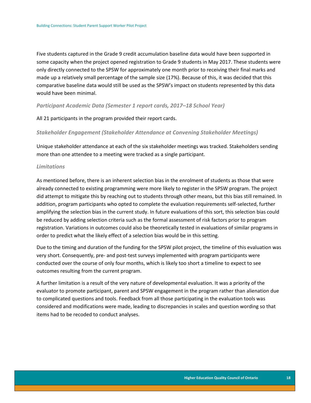Five students captured in the Grade 9 credit accumulation baseline data would have been supported in some capacity when the project opened registration to Grade 9 students in May 2017. These students were only directly connected to the SPSW for approximately one month prior to receiving their final marks and made up a relatively small percentage of the sample size (17%). Because of this, it was decided that this comparative baseline data would still be used as the SPSW's impact on students represented by this data would have been minimal.

#### *Participant Academic Data (Semester 1 report cards, 2017–18 School Year)*

#### All 21 participants in the program provided their report cards.

#### *Stakeholder Engagement (Stakeholder Attendance at Convening Stakeholder Meetings)*

Unique stakeholder attendance at each of the six stakeholder meetings was tracked. Stakeholders sending more than one attendee to a meeting were tracked as a single participant.

#### *Limitations*

As mentioned before, there is an inherent selection bias in the enrolment of students as those that were already connected to existing programming were more likely to register in the SPSW program. The project did attempt to mitigate this by reaching out to students through other means, but this bias still remained. In addition, program participants who opted to complete the evaluation requirements self-selected, further amplifying the selection bias in the current study. In future evaluations of this sort, this selection bias could be reduced by adding selection criteria such as the formal assessment of risk factors prior to program registration. Variations in outcomes could also be theoretically tested in evaluations of similar programs in order to predict what the likely effect of a selection bias would be in this setting.

Due to the timing and duration of the funding for the SPSW pilot project, the timeline of this evaluation was very short. Consequently, pre- and post-test surveys implemented with program participants were conducted over the course of only four months, which is likely too short a timeline to expect to see outcomes resulting from the current program.

A further limitation is a result of the very nature of developmental evaluation. It was a priority of the evaluator to promote participant, parent and SPSW engagement in the program rather than alienation due to complicated questions and tools. Feedback from all those participating in the evaluation tools was considered and modifications were made, leading to discrepancies in scales and question wording so that items had to be recoded to conduct analyses.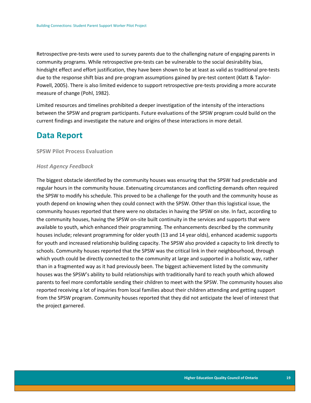Retrospective pre-tests were used to survey parents due to the challenging nature of engaging parents in community programs. While retrospective pre-tests can be vulnerable to the social desirability bias, hindsight effect and effort justification, they have been shown to be at least as valid as traditional pre-tests due to the response shift bias and pre-program assumptions gained by pre-test content (Klatt & Taylor-Powell, 2005). There is also limited evidence to support retrospective pre-tests providing a more accurate measure of change (Pohl, 1982).

Limited resources and timelines prohibited a deeper investigation of the intensity of the interactions between the SPSW and program participants. Future evaluations of the SPSW program could build on the current findings and investigate the nature and origins of these interactions in more detail.

### <span id="page-19-0"></span>**Data Report**

<span id="page-19-1"></span>**SPSW Pilot Process Evaluation**

#### *Host Agency Feedback*

The biggest obstacle identified by the community houses was ensuring that the SPSW had predictable and regular hours in the community house. Extenuating circumstances and conflicting demands often required the SPSW to modify his schedule. This proved to be a challenge for the youth and the community house as youth depend on knowing when they could connect with the SPSW. Other than this logistical issue, the community houses reported that there were no obstacles in having the SPSW on site. In fact, according to the community houses, having the SPSW on-site built continuity in the services and supports that were available to youth, which enhanced their programming. The enhancements described by the community houses include; relevant programming for older youth (13 and 14 year olds), enhanced academic supports for youth and increased relationship building capacity. The SPSW also provided a capacity to link directly to schools. Community houses reported that the SPSW was the critical link in their neighbourhood, through which youth could be directly connected to the community at large and supported in a holistic way, rather than in a fragmented way as it had previously been. The biggest achievement listed by the community houses was the SPSW's ability to build relationships with traditionally hard to reach youth which allowed parents to feel more comfortable sending their children to meet with the SPSW. The community houses also reported receiving a lot of inquiries from local families about their children attending and getting support from the SPSW program. Community houses reported that they did not anticipate the level of interest that the project garnered.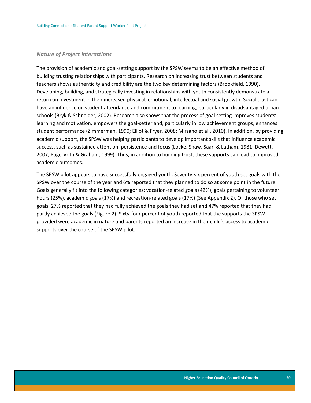#### *Nature of Project Interactions*

The provision of academic and goal-setting support by the SPSW seems to be an effective method of building trusting relationships with participants. Research on increasing trust between students and teachers shows authenticity and credibility are the two key determining factors (Brookfield, 1990). Developing, building, and strategically investing in relationships with youth consistently demonstrate a return on investment in their increased physical, emotional, intellectual and social growth. Social trust can have an influence on student attendance and commitment to learning, particularly in disadvantaged urban schools (Bryk & Schneider, 2002). Research also shows that the process of goal setting improves students' learning and motivation, empowers the goal-setter and, particularly in low achievement groups, enhances student performance (Zimmerman, 1990; Elliot & Fryer, 2008; Mirsano et al., 2010). In addition, by providing academic support, the SPSW was helping participants to develop important skills that influence academic success, such as sustained attention, persistence and focus (Locke, Shaw, Saari & Latham, 1981; Dewett, 2007; Page-Voth & Graham, 1999). Thus, in addition to building trust, these supports can lead to improved academic outcomes.

The SPSW pilot appears to have successfully engaged youth. Seventy-six percent of youth set goals with the SPSW over the course of the year and 6% reported that they planned to do so at some point in the future. Goals generally fit into the following categories: vocation-related goals (42%), goals pertaining to volunteer hours (25%), academic goals (17%) and recreation-related goals (17%) (See Appendix 2). Of those who set goals, 27% reported that they had fully achieved the goals they had set and 47% reported that they had partly achieved the goals (Figure 2). Sixty-four percent of youth reported that the supports the SPSW provided were academic in nature and parents reported an increase in their child's access to academic supports over the course of the SPSW pilot.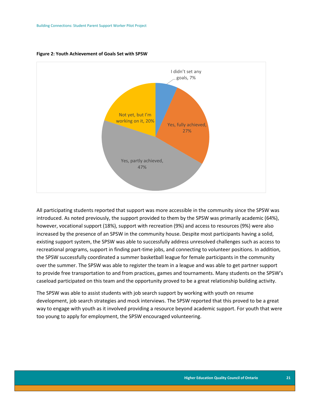

#### **Figure 2: Youth Achievement of Goals Set with SPSW**

All participating students reported that support was more accessible in the community since the SPSW was introduced. As noted previously, the support provided to them by the SPSW was primarily academic (64%), however, vocational support (18%), support with recreation (9%) and access to resources (9%) were also increased by the presence of an SPSW in the community house. Despite most participants having a solid, existing support system, the SPSW was able to successfully address unresolved challenges such as access to recreational programs, support in finding part-time jobs, and connecting to volunteer positions. In addition, the SPSW successfully coordinated a summer basketball league for female participants in the community over the summer. The SPSW was able to register the team in a league and was able to get partner support to provide free transportation to and from practices, games and tournaments. Many students on the SPSW's caseload participated on this team and the opportunity proved to be a great relationship building activity.

The SPSW was able to assist students with job search support by working with youth on resume development, job search strategies and mock interviews. The SPSW reported that this proved to be a great way to engage with youth as it involved providing a resource beyond academic support. For youth that were too young to apply for employment, the SPSW encouraged volunteering.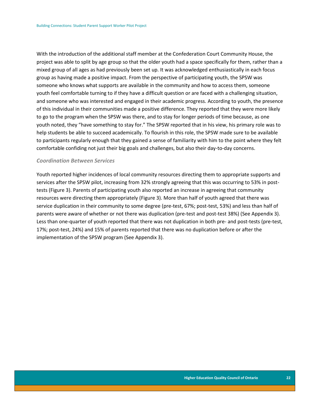With the introduction of the additional staff member at the Confederation Court Community House, the project was able to split by age group so that the older youth had a space specifically for them, rather than a mixed group of all ages as had previously been set up. It was acknowledged enthusiastically in each focus group as having made a positive impact. From the perspective of participating youth, the SPSW was someone who knows what supports are available in the community and how to access them, someone youth feel comfortable turning to if they have a difficult question or are faced with a challenging situation, and someone who was interested and engaged in their academic progress. According to youth, the presence of this individual in their communities made a positive difference. They reported that they were more likely to go to the program when the SPSW was there, and to stay for longer periods of time because, as one youth noted, they "have something to stay for." The SPSW reported that in his view, his primary role was to help students be able to succeed academically. To flourish in this role, the SPSW made sure to be available to participants regularly enough that they gained a sense of familiarity with him to the point where they felt comfortable confiding not just their big goals and challenges, but also their day-to-day concerns.

#### *Coordination Between Services*

Youth reported higher incidences of local community resources directing them to appropriate supports and services after the SPSW pilot, increasing from 32% strongly agreeing that this was occurring to 53% in posttests (Figure 3). Parents of participating youth also reported an increase in agreeing that community resources were directing them appropriately (Figure 3). More than half of youth agreed that there was service duplication in their community to some degree (pre-test, 67%; post-test, 53%) and less than half of parents were aware of whether or not there was duplication (pre-test and post-test 38%) (See Appendix 3). Less than one-quarter of youth reported that there was not duplication in both pre- and post-tests (pre-test, 17%; post-test, 24%) and 15% of parents reported that there was no duplication before or after the implementation of the SPSW program (See Appendix 3).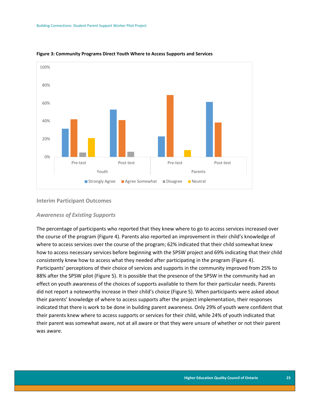

**Figure 3: Community Programs Direct Youth Where to Access Supports and Services**

#### <span id="page-23-0"></span>**Interim Participant Outcomes**

#### *Awareness of Existing Supports*

The percentage of participants who reported that they knew where to go to access services increased over the course of the program (Figure 4). Parents also reported an improvement in their child's knowledge of where to access services over the course of the program; 62% indicated that their child somewhat knew how to access necessary services before beginning with the SPSW project and 69% indicating that their child consistently knew how to access what they needed after participating in the program (Figure 4). Participants' perceptions of their choice of services and supports in the community improved from 25% to 88% after the SPSW pilot (Figure 5). It is possible that the presence of the SPSW in the community had an effect on youth awareness of the choices of supports available to them for their particular needs. Parents did not report a noteworthy increase in their child's choice (Figure 5). When participants were asked about their parents' knowledge of where to access supports after the project implementation, their responses indicated that there is work to be done in building parent awareness. Only 29% of youth were confident that their parents knew where to access supports or services for their child, while 24% of youth indicated that their parent was somewhat aware, not at all aware or that they were unsure of whether or not their parent was aware.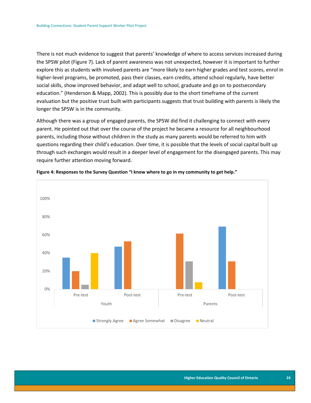There is not much evidence to suggest that parents' knowledge of where to access services increased during the SPSW pilot (Figure 7). Lack of parent awareness was not unexpected, however it is important to further explore this as students with involved parents are "more likely to earn higher grades and test scores, enrol in higher-level programs, be promoted, pass their classes, earn credits, attend school regularly, have better social skills, show improved behavior, and adapt well to school, graduate and go on to postsecondary education." (Henderson & Mapp, 2002). This is possibly due to the short timeframe of the current evaluation but the positive trust built with participants suggests that trust building with parents is likely the longer the SPSW is in the community.

Although there was a group of engaged parents, the SPSW did find it challenging to connect with every parent. He pointed out that over the course of the project he became a resource for all neighbourhood parents, including those without children in the study as many parents would be referred to him with questions regarding their child's education. Over time, it is possible that the levels of social capital built up through such exchanges would result in a deeper level of engagement for the disengaged parents. This may require further attention moving forward.



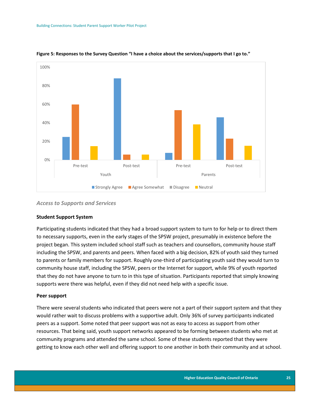

#### **Figure 5: Responses to the Survey Question "I have a choice about the services/supports that I go to."**

#### *Access to Supports and Services*

#### **Student Support System**

Participating students indicated that they had a broad support system to turn to for help or to direct them to necessary supports, even in the early stages of the SPSW project, presumably in existence before the project began. This system included school staff such as teachers and counsellors, community house staff including the SPSW, and parents and peers. When faced with a big decision, 82% of youth said they turned to parents or family members for support. Roughly one-third of participating youth said they would turn to community house staff, including the SPSW, peers or the Internet for support, while 9% of youth reported that they do not have anyone to turn to in this type of situation. Participants reported that simply knowing supports were there was helpful, even if they did not need help with a specific issue.

#### **Peer support**

There were several students who indicated that peers were not a part of their support system and that they would rather wait to discuss problems with a supportive adult. Only 36% of survey participants indicated peers as a support. Some noted that peer support was not as easy to access as support from other resources. That being said, youth support networks appeared to be forming between students who met at community programs and attended the same school. Some of these students reported that they were getting to know each other well and offering support to one another in both their community and at school.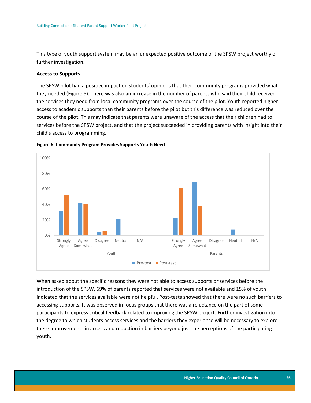This type of youth support system may be an unexpected positive outcome of the SPSW project worthy of further investigation.

#### **Access to Supports**

The SPSW pilot had a positive impact on students' opinions that their community programs provided what they needed (Figure 6). There was also an increase in the number of parents who said their child received the services they need from local community programs over the course of the pilot. Youth reported higher access to academic supports than their parents before the pilot but this difference was reduced over the course of the pilot. This may indicate that parents were unaware of the access that their children had to services before the SPSW project, and that the project succeeded in providing parents with insight into their child's access to programming.





When asked about the specific reasons they were not able to access supports or services before the introduction of the SPSW, 69% of parents reported that services were not available and 15% of youth indicated that the services available were not helpful. Post-tests showed that there were no such barriers to accessing supports. It was observed in focus groups that there was a reluctance on the part of some participants to express critical feedback related to improving the SPSW project. Further investigation into the degree to which students access services and the barriers they experience will be necessary to explore these improvements in access and reduction in barriers beyond just the perceptions of the participating youth.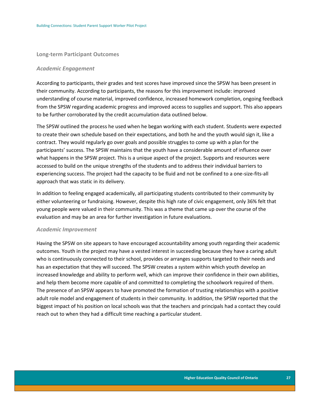#### <span id="page-27-0"></span>**Long-term Participant Outcomes**

#### *Academic Engagement*

According to participants, their grades and test scores have improved since the SPSW has been present in their community. According to participants, the reasons for this improvement include: improved understanding of course material, improved confidence, increased homework completion, ongoing feedback from the SPSW regarding academic progress and improved access to supplies and support. This also appears to be further corroborated by the credit accumulation data outlined below.

The SPSW outlined the process he used when he began working with each student. Students were expected to create their own schedule based on their expectations, and both he and the youth would sign it, like a contract. They would regularly go over goals and possible struggles to come up with a plan for the participants' success. The SPSW maintains that the youth have a considerable amount of influence over what happens in the SPSW project. This is a unique aspect of the project. Supports and resources were accessed to build on the unique strengths of the students and to address their individual barriers to experiencing success. The project had the capacity to be fluid and not be confined to a one-size-fits-all approach that was static in its delivery.

In addition to feeling engaged academically, all participating students contributed to their community by either volunteering or fundraising. However, despite this high rate of civic engagement, only 36% felt that young people were valued in their community. This was a theme that came up over the course of the evaluation and may be an area for further investigation in future evaluations.

#### *Academic Improvement*

Having the SPSW on site appears to have encouraged accountability among youth regarding their academic outcomes. Youth in the project may have a vested interest in succeeding because they have a caring adult who is continuously connected to their school, provides or arranges supports targeted to their needs and has an expectation that they will succeed. The SPSW creates a system within which youth develop an increased knowledge and ability to perform well, which can improve their confidence in their own abilities, and help them become more capable of and committed to completing the schoolwork required of them. The presence of an SPSW appears to have promoted the formation of trusting relationships with a positive adult role model and engagement of students in their community. In addition, the SPSW reported that the biggest impact of his position on local schools was that the teachers and principals had a contact they could reach out to when they had a difficult time reaching a particular student.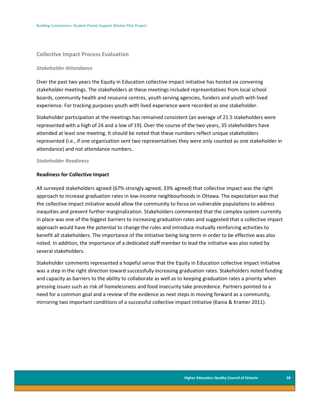#### <span id="page-28-0"></span>**Collective Impact Process Evaluation**

#### *Stakeholder Attendance*

Over the past two years the Equity in Education collective impact initiative has hosted six convening stakeholder meetings. The stakeholders at these meetings included representatives from local school boards, community health and resource centres, youth serving agencies, funders and youth with lived experience. For tracking purposes youth with lived experience were recorded as one stakeholder.

Stakeholder participation at the meetings has remained consistent (an average of 21.5 stakeholders were represented with a high of 24 and a low of 19). Over the course of the two years, 35 stakeholders have attended at least one meeting. It should be noted that these numbers reflect unique stakeholders represented (i.e., if one organization sent two representatives they were only counted as one stakeholder in attendance) and not attendance numbers.

#### *Stakeholder Readiness*

#### **Readiness for Collective Impact**

All surveyed stakeholders agreed (67% strongly agreed, 33% agreed) that collective impact was the right approach to increase graduation rates in low-income neighbourhoods in Ottawa. The expectation was that the collective impact initiative would allow the community to focus on vulnerable populations to address inequities and prevent further marginalization. Stakeholders commented that the complex system currently in place was one of the biggest barriers to increasing graduation rates and suggested that a collective impact approach would have the potential to change the rules and introduce mutually reinforcing activities to benefit all stakeholders. The importance of the initiative being long term in order to be effective was also noted. In addition, the importance of a dedicated staff member to lead the initiative was also noted by several stakeholders.

Stakeholder comments represented a hopeful sense that the Equity in Education collective impact initiative was a step in the right direction toward successfully increasing graduation rates. Stakeholders noted funding and capacity as barriers to the ability to collaborate as well as to keeping graduation rates a priority when pressing issues such as risk of homelessness and food insecurity take precedence. Partners pointed to a need for a common goal and a review of the evidence as next steps in moving forward as a community, mirroring two important conditions of a successful collective impact initiative (Kania & Kramer 2011).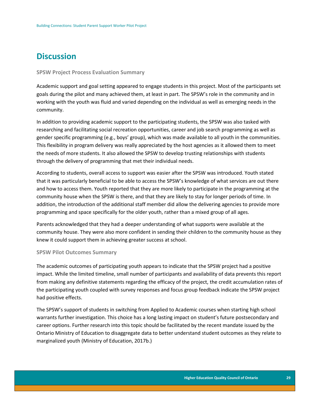## <span id="page-29-0"></span>**Discussion**

#### <span id="page-29-1"></span>**SPSW Project Process Evaluation Summary**

Academic support and goal setting appeared to engage students in this project. Most of the participants set goals during the pilot and many achieved them, at least in part. The SPSW's role in the community and in working with the youth was fluid and varied depending on the individual as well as emerging needs in the community.

In addition to providing academic support to the participating students, the SPSW was also tasked with researching and facilitating social recreation opportunities, career and job search programming as well as gender specific programming (e.g., boys' group), which was made available to all youth in the communities. This flexibility in program delivery was really appreciated by the host agencies as it allowed them to meet the needs of more students. It also allowed the SPSW to develop trusting relationships with students through the delivery of programming that met their individual needs.

According to students, overall access to support was easier after the SPSW was introduced. Youth stated that it was particularly beneficial to be able to access the SPSW's knowledge of what services are out there and how to access them. Youth reported that they are more likely to participate in the programming at the community house when the SPSW is there, and that they are likely to stay for longer periods of time. In addition, the introduction of the additional staff member did allow the delivering agencies to provide more programming and space specifically for the older youth, rather than a mixed group of all ages.

Parents acknowledged that they had a deeper understanding of what supports were available at the community house. They were also more confident in sending their children to the community house as they knew it could support them in achieving greater success at school.

#### <span id="page-29-2"></span>**SPSW Pilot Outcomes Summary**

The academic outcomes of participating youth appears to indicate that the SPSW project had a positive impact. While the limited timeline, small number of participants and availability of data prevents this report from making any definitive statements regarding the efficacy of the project, the credit accumulation rates of the participating youth coupled with survey responses and focus group feedback indicate the SPSW project had positive effects.

The SPSW's support of students in switching from Applied to Academic courses when starting high school warrants further investigation. This choice has a long lasting impact on student's future postsecondary and career options. Further research into this topic should be facilitated by the recent mandate issued by the Ontario Ministry of Education to disaggregate data to better understand student outcomes as they relate to marginalized youth (Ministry of Education, 2017b.)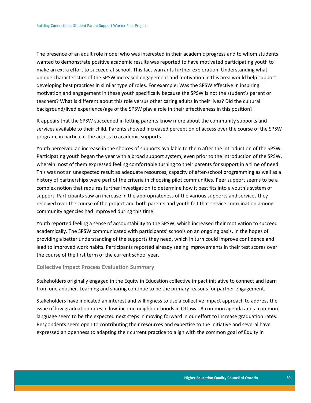The presence of an adult role model who was interested in their academic progress and to whom students wanted to demonstrate positive academic results was reported to have motivated participating youth to make an extra effort to succeed at school. This fact warrants further exploration. Understanding what unique characteristics of the SPSW increased engagement and motivation in this area would help support developing best practices in similar type of roles. For example: Was the SPSW effective in inspiring motivation and engagement in these youth specifically because the SPSW is not the student's parent or teachers? What is different about this role versus other caring adults in their lives? Did the cultural background/lived experience/age of the SPSW play a role in their effectiveness in this position?

It appears that the SPSW succeeded in letting parents know more about the community supports and services available to their child. Parents showed increased perception of access over the course of the SPSW program, in particular the access to academic supports.

Youth perceived an increase in the choices of supports available to them after the introduction of the SPSW. Participating youth began the year with a broad support system, even prior to the introduction of the SPSW, wherein most of them expressed feeling comfortable turning to their parents for support in a time of need. This was not an unexpected result as adequate resources, capacity of after-school programming as well as a history of partnerships were part of the criteria in choosing pilot communities. Peer support seems to be a complex notion that requires further investigation to determine how it best fits into a youth's system of support. Participants saw an increase in the appropriateness of the various supports and services they received over the course of the project and both parents and youth felt that service coordination among community agencies had improved during this time.

Youth reported feeling a sense of accountability to the SPSW, which increased their motivation to succeed academically. The SPSW communicated with participants' schools on an ongoing basis, in the hopes of providing a better understanding of the supports they need, which in turn could improve confidence and lead to improved work habits. Participants reported already seeing improvements in their test scores over the course of the first term of the current school year.

#### <span id="page-30-0"></span>**Collective Impact Process Evaluation Summary**

Stakeholders originally engaged in the Equity in Education collective impact initiative to connect and learn from one another. Learning and sharing continue to be the primary reasons for partner engagement.

Stakeholders have indicated an interest and willingness to use a collective impact approach to address the issue of low graduation rates in low-income neighbourhoods in Ottawa. A common agenda and a common language seem to be the expected next steps in moving forward in our effort to increase graduation rates. Respondents seem open to contributing their resources and expertise to the initiative and several have expressed an openness to adapting their current practice to align with the common goal of Equity in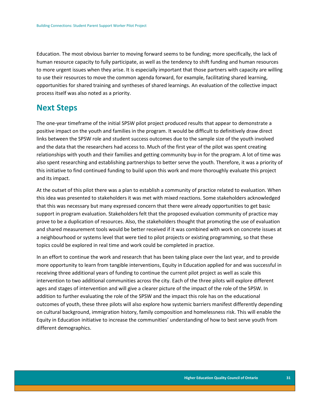Education. The most obvious barrier to moving forward seems to be funding; more specifically, the lack of human resource capacity to fully participate, as well as the tendency to shift funding and human resources to more urgent issues when they arise. It is especially important that those partners with capacity are willing to use their resources to move the common agenda forward, for example, facilitating shared learning, opportunities for shared training and syntheses of shared learnings. An evaluation of the collective impact process itself was also noted as a priority.

### <span id="page-31-0"></span>**Next Steps**

The one-year timeframe of the initial SPSW pilot project produced results that appear to demonstrate a positive impact on the youth and families in the program. It would be difficult to definitively draw direct links between the SPSW role and student success outcomes due to the sample size of the youth involved and the data that the researchers had access to. Much of the first year of the pilot was spent creating relationships with youth and their families and getting community buy-in for the program. A lot of time was also spent researching and establishing partnerships to better serve the youth. Therefore, it was a priority of this initiative to find continued funding to build upon this work and more thoroughly evaluate this project and its impact.

At the outset of this pilot there was a plan to establish a community of practice related to evaluation. When this idea was presented to stakeholders it was met with mixed reactions. Some stakeholders acknowledged that this was necessary but many expressed concern that there were already opportunities to get basic support in program evaluation. Stakeholders felt that the proposed evaluation community of practice may prove to be a duplication of resources. Also, the stakeholders thought that promoting the use of evaluation and shared measurement tools would be better received if it was combined with work on concrete issues at a neighbourhood or systems level that were tied to pilot projects or existing programming, so that these topics could be explored in real time and work could be completed in practice.

In an effort to continue the work and research that has been taking place over the last year, and to provide more opportunity to learn from tangible interventions, Equity in Education applied for and was successful in receiving three additional years of funding to continue the current pilot project as well as scale this intervention to two additional communities across the city. Each of the three pilots will explore different ages and stages of intervention and will give a clearer picture of the impact of the role of the SPSW. In addition to further evaluating the role of the SPSW and the impact this role has on the educational outcomes of youth, these three pilots will also explore how systemic barriers manifest differently depending on cultural background, immigration history, family composition and homelessness risk. This will enable the Equity in Education initiative to increase the communities' understanding of how to best serve youth from different demographics.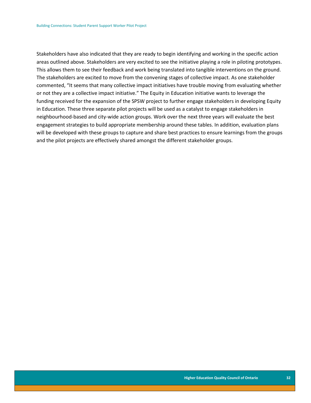Stakeholders have also indicated that they are ready to begin identifying and working in the specific action areas outlined above. Stakeholders are very excited to see the initiative playing a role in piloting prototypes. This allows them to see their feedback and work being translated into tangible interventions on the ground. The stakeholders are excited to move from the convening stages of collective impact. As one stakeholder commented, "It seems that many collective impact initiatives have trouble moving from evaluating whether or not they are a collective impact initiative." The Equity in Education initiative wants to leverage the funding received for the expansion of the SPSW project to further engage stakeholders in developing Equity in Education. These three separate pilot projects will be used as a catalyst to engage stakeholders in neighbourhood-based and city-wide action groups. Work over the next three years will evaluate the best engagement strategies to build appropriate membership around these tables. In addition, evaluation plans will be developed with these groups to capture and share best practices to ensure learnings from the groups and the pilot projects are effectively shared amongst the different stakeholder groups.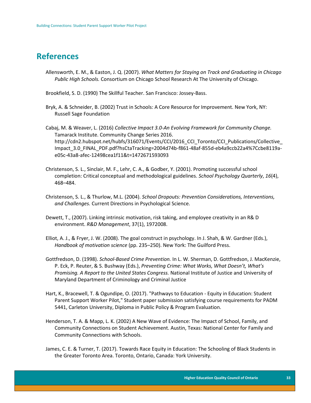### <span id="page-33-0"></span>**References**

- Allensworth, E. M., & Easton, J. Q. (2007). *What Matters for Staying on Track and Graduating in Chicago Public High Schools.* Consortium on Chicago School Research At The University of Chicago.
- Brookfield, S. D. (1990) The Skillful Teacher. San Francisco: Jossey-Bass.
- Bryk, A. & Schneider, B. (2002) Trust in Schools: A Core Resource for Improvement. New York, NY: Russell Sage Foundation
- Cabaj, M. & Weaver, L. (2016) *Collective Impact 3.0-An Evolving Framework for Community Change.*  Tamarack Institute. Community Change Series 2016. http://cdn2.hubspot.net/hubfs/316071/Events/CCI/2016\_CCI\_Toronto/CCI\_Publications/Collective\_ Impact\_3.0\_FINAL\_PDF.pdf?hsCtaTracking=2004d74b-f861-48af-855d-eb4a9ccb22a4%7Ccbe8119ae05c-43a8-afec-12498cea1f11&t=1472671593093
- Christenson, S. L., Sinclair, M. F., Lehr, C. A., & Godber, Y. (2001). Promoting successful school completion: Critical conceptual and methodological guidelines. *School Psychology Quarterly*, *16*(4), 468–484.
- Christenson, S. L., & Thurlow, M.L. (2004). *School Dropouts: Prevention Considerations, Interventions, and Challenges.* Current Directions in Psychological Science.
- Dewett, T., (2007). Linking intrinsic motivation, risk taking, and employee creativity in an R& D environment. *R&D Management*, 37(1), 1972008.
- Elliot, A. J., & Fryer, J. W. (2008). The goal construct in psychology. In J. Shah, & W. Gardner (Eds.), *Handbook of motivation science* (pp. 235–250). New York: The Guilford Press.
- Gottfredson, D. (1998). *School-Based Crime Prevention.* In L. W. Sherman, D. Gottfredson, J. MacKenzie, P. Eck, P. Reuter, & S. Bushway (Eds.), *Preventing Crime: What Works, What Doesn't, What's Promising. A Report to the United States Congress.* National Institute of Justice and University of Maryland Department of Criminology and Criminal Justice
- Hart, K., Bracewell, T. & Ogundipe, O. (2017). "Pathways to Education Equity in Education: Student Parent Support Worker Pilot," Student paper submission satisfying course requirements for PADM 5441, Carleton University, Diploma in Public Policy & Program Evaluation.
- Henderson, T. A. & Mapp, L. K. (2002) A New Wave of Evidence: The Impact of School, Family, and Community Connections on Student Achievement. Austin, Texas: National Center for Family and Community Connections with Schools.
- James, C. E. & Turner, T. (2017). Towards Race Equity in Education: The Schooling of Black Students in the Greater Toronto Area. Toronto, Ontario, Canada: York University.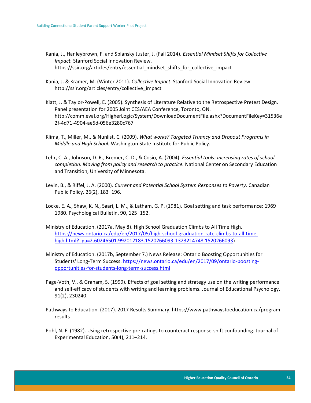Kania, J., Hanleybrown, F. and Splansky Juster, J. (Fall 2014). *Essential Mindset Shifts for Collective Impact.* Stanford Social Innovation Review. https://ssir.org/articles/entry/essential\_mindset\_shifts\_for\_collective\_impact

- Kania, J. & Kramer, M. (Winter 2011). *Collective Impact*. Stanford Social Innovation Review. http://ssir.org/articles/entry/collective\_impact
- Klatt, J. & Taylor-Powell, E. (2005). Synthesis of Literature Relative to the Retrospective Pretest Design. Panel presentation for 2005 Joint CES/AEA Conference, Toronto, ON. http://comm.eval.org/HigherLogic/System/DownloadDocumentFile.ashx?DocumentFileKey=31536e 2f-4d71-4904-ae5d-056e3280c767
- Klima, T., Miller, M., & Nunlist, C. (2009). *What works? Targeted Truancy and Dropout Programs in Middle and High School.* Washington State Institute for Public Policy.
- Lehr, C. A., Johnson, D. R., Bremer, C. D., & Cosio, A. (2004). *Essential tools: Increasing rates of school completion. Moving from policy and research to practice.* National Center on Secondary Education and Transition, University of Minnesota.
- Levin, B., & Riffel, J. A. (2000). *Current and Potential School System Responses to Poverty*. Canadian Public Policy. 26(2), 183–196.
- Locke, E. A., Shaw, K. N., Saari, L. M., & Latham, G. P. (1981). Goal setting and task performance: 1969– 1980. Psychological Bulletin, 90, 125–152.
- Ministry of Education. (2017a, May 8). High School Graduation Climbs to All Time High. [https://news.ontario.ca/edu/en/2017/05/high-school-graduation-rate-climbs-to-all-time](https://news.ontario.ca/edu/en/2017/05/high-school-graduation-rate-climbs-to-all-time-high.html?_ga=2.60246501.992012183.1520266093-1323214748.1520266093)high.html? ga=2.60246501.992012183.1520266093-1323214748.1520266093)
- Ministry of Education. (2017b, September 7.) News Release: Ontario Boosting Opportunities for Students' Long-Term Success. [https://news.ontario.ca/edu/en/2017/09/ontario-boosting](https://news.ontario.ca/edu/en/2017/09/ontario-boosting-opportunities-for-students-long-term-success.html)[opportunities-for-students-long-term-success.html](https://news.ontario.ca/edu/en/2017/09/ontario-boosting-opportunities-for-students-long-term-success.html)
- Page-Voth, V., & Graham, S. (1999). Effects of goal setting and strategy use on the writing performance and self-efficacy of students with writing and learning problems. Journal of Educational Psychology, 91(2), 230240.
- Pathways to Education. (2017). 2017 Results Summary. https://www.pathwaystoeducation.ca/programresults
- Pohl, N. F. (1982). Using retrospective pre-ratings to counteract response-shift confounding. Journal of Experimental Education, 50(4), 211–214.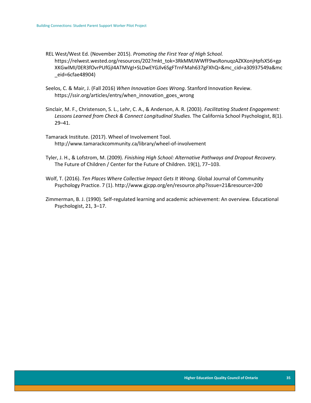REL West/West Ed. (November 2015). *Promoting the First Year of High School.*  https://relwest.wested.org/resources/202?mkt\_tok=3RkMMJWWfF9wsRonuqzAZKXonjHpfsX56+gp XKGwlMI/0ER3fOvrPUfGjI4ATMVgI+SLDwEYGJlv6SgFTrnFMah637gFXhQ=&mc\_cid=a30937549a&mc \_eid=6cfae48904)

- Seelos, C. & Mair, J. (Fall 2016) *When Innovation Goes Wrong*. Stanford Innovation Review. https://ssir.org/articles/entry/when\_innovation\_goes\_wrong
- Sinclair, M. F., Christenson, S. L., Lehr, C. A., & Anderson, A. R. (2003). *Facilitating Student Engagement:*  Lessons Learned from Check & Connect Longitudinal Studies. The California School Psychologist, 8(1). 29–41.
- Tamarack Institute. (2017). Wheel of Involvement Tool. http://www.tamarackcommunity.ca/library/wheel-of-involvement
- Tyler, J. H., & Lofstrom, M. (2009). *Finishing High School: Alternative Pathways and Dropout Recovery.* The Future of Children / Center for the Future of Children. 19(1), 77–103.
- Wolf, T. (2016). *Ten Places Where Collective Impact Gets It Wrong.* Global Journal of Community Psychology Practice. 7 (1). http://www.gjcpp.org/en/resource.php?issue=21&resource=200
- Zimmerman, B. J. (1990). Self-regulated learning and academic achievement: An overview. Educational Psychologist, 21, 3–17.